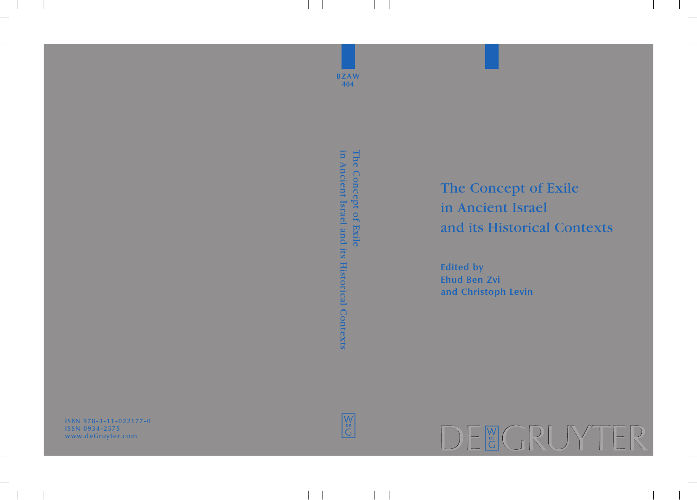ISBN 978-3-11-022177-0 ISSN 0934-2575 w ww.deGruyter.com



**B Z A W 4 0 4** in Ancient Israel and its Historical Contexts The Concept of Exile The Concept of Exile in Ancient Israel and its Historical Contexts The Concept of Exile in Ancient Israel and its Historical Contexts **Edited by Ehud Ben Zvi and Christoph Levin**

 $\sqrt{\frac{M}{N}}$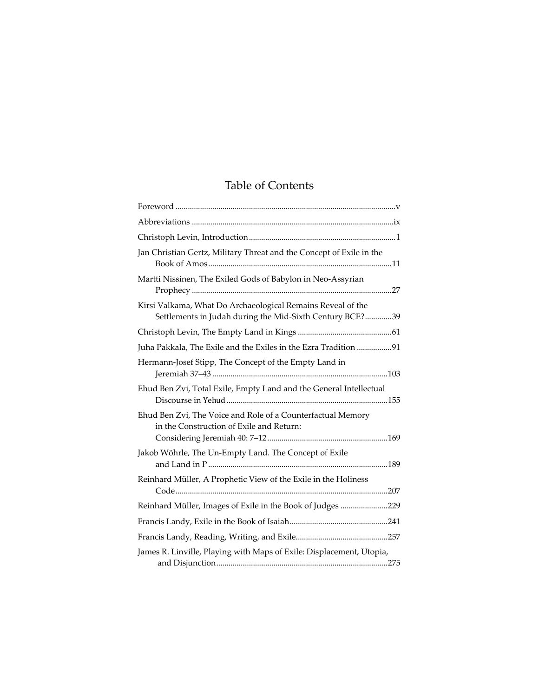# Table of Contents

| Jan Christian Gertz, Military Threat and the Concept of Exile in the                                                    |  |
|-------------------------------------------------------------------------------------------------------------------------|--|
| Martti Nissinen, The Exiled Gods of Babylon in Neo-Assyrian                                                             |  |
| Kirsi Valkama, What Do Archaeological Remains Reveal of the<br>Settlements in Judah during the Mid-Sixth Century BCE?39 |  |
|                                                                                                                         |  |
| Juha Pakkala, The Exile and the Exiles in the Ezra Tradition 91                                                         |  |
| Hermann-Josef Stipp, The Concept of the Empty Land in                                                                   |  |
| Ehud Ben Zvi, Total Exile, Empty Land and the General Intellectual                                                      |  |
| Ehud Ben Zvi, The Voice and Role of a Counterfactual Memory<br>in the Construction of Exile and Return:                 |  |
| Jakob Wöhrle, The Un-Empty Land. The Concept of Exile                                                                   |  |
| Reinhard Müller, A Prophetic View of the Exile in the Holiness                                                          |  |
| Reinhard Müller, Images of Exile in the Book of Judges 229                                                              |  |
|                                                                                                                         |  |
|                                                                                                                         |  |
| James R. Linville, Playing with Maps of Exile: Displacement, Utopia,                                                    |  |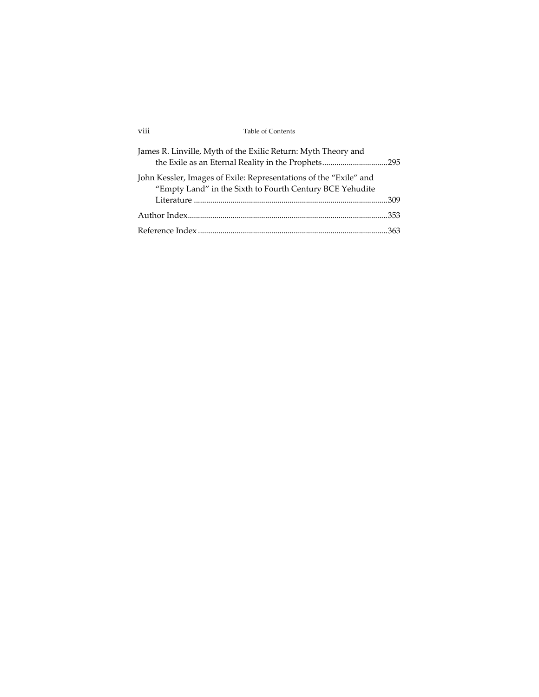| <br>Table of Contents<br><b>V111</b><br>. |  |
|-------------------------------------------|--|
|-------------------------------------------|--|

| James R. Linville, Myth of the Exilic Return: Myth Theory and<br>the Exile as an Eternal Reality in the Prophets295           |  |
|-------------------------------------------------------------------------------------------------------------------------------|--|
| John Kessler, Images of Exile: Representations of the "Exile" and<br>"Empty Land" in the Sixth to Fourth Century BCE Yehudite |  |
|                                                                                                                               |  |
|                                                                                                                               |  |
|                                                                                                                               |  |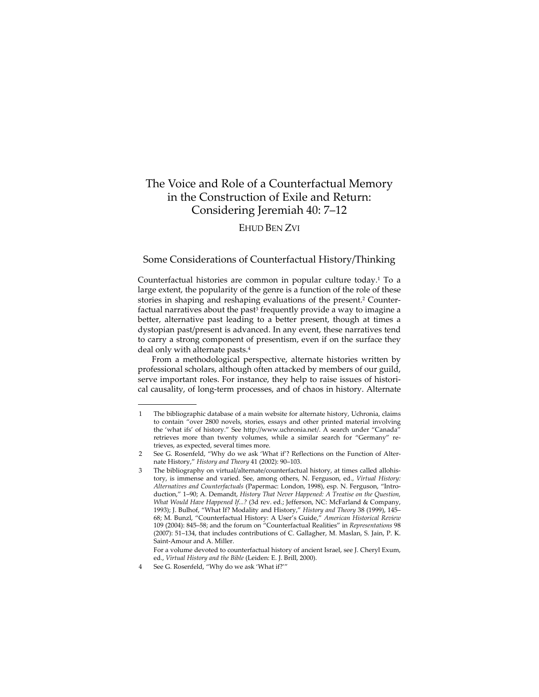## The Voice and Role of a Counterfactual Memory in the Construction of Exile and Return: Considering Jeremiah 40: 7–12

## EHUD BEN ZVI

## Some Considerations of Counterfactual History/Thinking

Counterfactual histories are common in popular culture today.1 To a large extent, the popularity of the genre is a function of the role of these stories in shaping and reshaping evaluations of the present.<sup>2</sup> Counterfactual narratives about the past<sup>3</sup> frequently provide a way to imagine a better, alternative past leading to a better present, though at times a dystopian past/present is advanced. In any event, these narratives tend to carry a strong component of presentism, even if on the surface they deal only with alternate pasts.4

From a methodological perspective, alternate histories written by professional scholars, although often attacked by members of our guild, serve important roles. For instance, they help to raise issues of historical causality, of long‐term processes, and of chaos in history. Alternate

<sup>1</sup> The bibliographic database of a main website for alternate history, Uchronia, claims to contain "over 2800 novels, stories, essays and other printed material involving the 'what ifs' of history." See http://www.uchronia.net/. A search under "Canada" retrieves more than twenty volumes, while a similar search for "Germany" retrieves, as expected, several times more.

<sup>2</sup> See G. Rosenfeld, "Why do we ask 'What if"? Reflections on the Function of Alternate History," *History and Theory* 41 (2002): 90–103.

<sup>3</sup> The bibliography on virtual/alternate/counterfactual history, at times called allohis‐ tory, is immense and varied. See, among others, N. Ferguson, ed., *Virtual History: Alternatives and Counterfactuals* (Papermac: London, 1998), esp. N. Ferguson, "Intro‐ duction," 1–90; A. Demandt, *History That Never Happened: A Treatise on the Question, What Would Have Happened If...?* (3d rev. ed.; Jefferson, NC: McFarland & Company, 1993); J. Bulhof, "What If? Modality and History," *History and Theory* 38 (1999), 145– 68; M. Bunzl, "Counterfactual History: A User's Guide," *American Historical Review* 109 (2004): 845–58; and the forum on "Counterfactual Realities" in *Representations* 98 (2007): 51–134, that includes contributions of C. Gallagher, M. Maslan, S. Jain, P. K. Saint‐Amour and A. Miller.

For a volume devoted to counterfactual history of ancient Israel, see J. Cheryl Exum, ed., *Virtual History and the Bible* (Leiden: E. J. Brill, 2000).

<sup>4</sup> See G. Rosenfeld, "Why do we ask 'What if?'"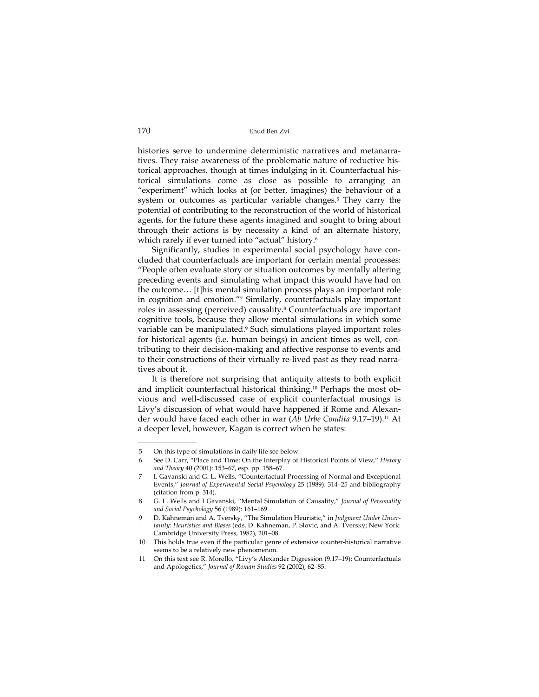histories serve to undermine deterministic narratives and metanarratives. They raise awareness of the problematic nature of reductive his‐ torical approaches, though at times indulging in it. Counterfactual his‐ torical simulations come as close as possible to arranging an "experiment" which looks at (or better, imagines) the behaviour of a system or outcomes as particular variable changes.5 They carry the potential of contributing to the reconstruction of the world of historical agents, for the future these agents imagined and sought to bring about through their actions is by necessity a kind of an alternate history, which rarely if ever turned into "actual" history.<sup>6</sup>

Significantly, studies in experimental social psychology have con‐ cluded that counterfactuals are important for certain mental processes: "People often evaluate story or situation outcomes by mentally altering preceding events and simulating what impact this would have had on the outcome… [t]his mental simulation process plays an important role in cognition and emotion."7 Similarly, counterfactuals play important roles in assessing (perceived) causality.<sup>8</sup> Counterfactuals are important cognitive tools, because they allow mental simulations in which some variable can be manipulated.<sup>9</sup> Such simulations played important roles for historical agents (i.e. human beings) in ancient times as well, contributing to their decision‐making and affective response to events and to their constructions of their virtually re-lived past as they read narratives about it.

It is therefore not surprising that antiquity attests to both explicit and implicit counterfactual historical thinking.<sup>10</sup> Perhaps the most obvious and well‐discussed case of explicit counterfactual musings is Livy's discussion of what would have happened if Rome and Alexan‐ der would have faced each other in war (*Ab Urbe Condita* 9.17–19).11 At a deeper level, however, Kagan is correct when he states:

<sup>5</sup> On this type of simulations in daily life see below.

<sup>6</sup> See D. Carr, "Place and Time: On the Interplay of Historical Points of View," *History and Theory* 40 (2001): 153–67, esp. pp. 158–67.

<sup>7</sup> I. Gavanski and G. L. Wells, "Counterfactual Processing of Normal and Exceptional Events," *Journal of Experimental Social Psychology* 25 (1989): 314–25 and bibliography (citation from p. 314).

<sup>8</sup> G. L. Wells and I Gavanski, "Mental Simulation of Causality," *Journal of Personality and Social Psychology* 56 (1989): 161–169.

<sup>9</sup> D. Kahneman and A. Tversky, "The Simulation Heuristic," in *Judgment Under Uncer‐ tainty: Heuristics and Biases* (eds. D. Kahneman, P. Slovic, and A. Tversky; New York: Cambridge University Press, 1982), 201–08.

<sup>10</sup> This holds true even if the particular genre of extensive counter-historical narrative seems to be a relatively new phenomenon.

<sup>11</sup> On this text see R. Morello, "Livy's Alexander Digression (9.17–19): Counterfactuals and Apologetics," *Journal of Roman Studies* 92 (2002), 62–85.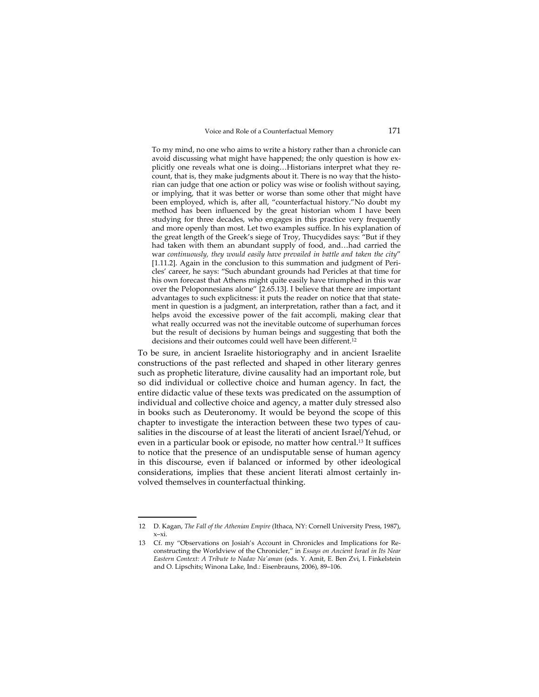To my mind, no one who aims to write a history rather than a chronicle can avoid discussing what might have happened; the only question is how ex‐ plicitly one reveals what one is doing... Historians interpret what they recount, that is, they make judgments about it. There is no way that the historian can judge that one action or policy was wise or foolish without saying, or implying, that it was better or worse than some other that might have been employed, which is, after all, "counterfactual history."No doubt my method has been influenced by the great historian whom I have been studying for three decades, who engages in this practice very frequently and more openly than most. Let two examples suffice. In his explanation of the great length of the Greek's siege of Troy, Thucydides says: "But if they had taken with them an abundant supply of food, and…had carried the war *continuously, they would easily have prevailed in battle and taken the city*" [1.11.2]. Again in the conclusion to this summation and judgment of Pericles' career, he says: "Such abundant grounds had Pericles at that time for his own forecast that Athens might quite easily have triumphed in this war over the Peloponnesians alone" [2.65.13]. I believe that there are important advantages to such explicitness: it puts the reader on notice that that state‐ ment in question is a judgment, an interpretation, rather than a fact, and it helps avoid the excessive power of the fait accompli, making clear that what really occurred was not the inevitable outcome of superhuman forces but the result of decisions by human beings and suggesting that both the decisions and their outcomes could well have been different.12

To be sure, in ancient Israelite historiography and in ancient Israelite constructions of the past reflected and shaped in other literary genres such as prophetic literature, divine causality had an important role, but so did individual or collective choice and human agency. In fact, the entire didactic value of these texts was predicated on the assumption of individual and collective choice and agency, a matter duly stressed also in books such as Deuteronomy. It would be beyond the scope of this chapter to investigate the interaction between these two types of cau‐ salities in the discourse of at least the literati of ancient Israel/Yehud, or even in a particular book or episode, no matter how central.13 It suffices to notice that the presence of an undisputable sense of human agency in this discourse, even if balanced or informed by other ideological considerations, implies that these ancient literati almost certainly in‐ volved themselves in counterfactual thinking.

<sup>12</sup> D. Kagan, *The Fall of the Athenian Empire* (Ithaca, NY: Cornell University Press, 1987), x–xi.

<sup>13</sup> Cf. my "Observations on Josiah's Account in Chronicles and Implications for Re‐ constructing the Worldview of the Chronicler," in *Essays on Ancient Israel in Its Near Eastern Context: A Tribute to Nadav Naʹaman* (eds. Y. Amit, E. Ben Zvi, I. Finkelstein and O. Lipschits; Winona Lake, Ind.: Eisenbrauns, 2006), 89–106.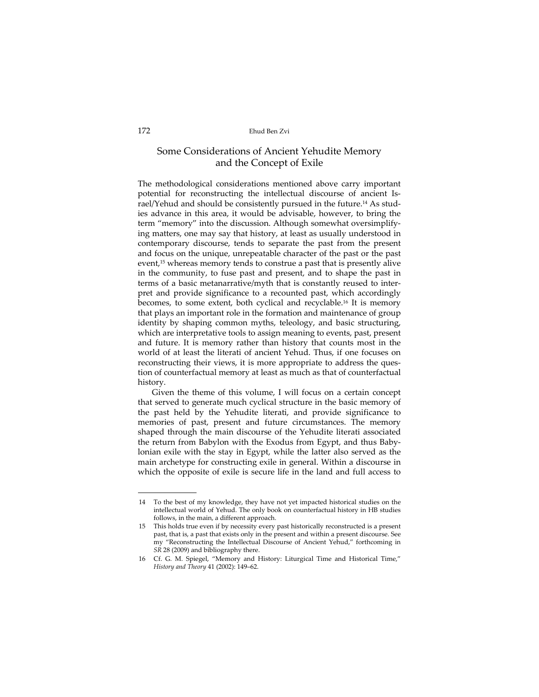## Some Considerations of Ancient Yehudite Memory and the Concept of Exile

The methodological considerations mentioned above carry important potential for reconstructing the intellectual discourse of ancient Is‐ rael/Yehud and should be consistently pursued in the future.<sup>14</sup> As studies advance in this area, it would be advisable, however, to bring the term "memory" into the discussion. Although somewhat oversimplify‐ ing matters, one may say that history, at least as usually understood in contemporary discourse, tends to separate the past from the present and focus on the unique, unrepeatable character of the past or the past event,<sup>15</sup> whereas memory tends to construe a past that is presently alive in the community, to fuse past and present, and to shape the past in terms of a basic metanarrative/myth that is constantly reused to inter‐ pret and provide significance to a recounted past, which accordingly becomes, to some extent, both cyclical and recyclable.16 It is memory that plays an important role in the formation and maintenance of group identity by shaping common myths, teleology, and basic structuring, which are interpretative tools to assign meaning to events, past, present and future. It is memory rather than history that counts most in the world of at least the literati of ancient Yehud. Thus, if one focuses on reconstructing their views, it is more appropriate to address the question of counterfactual memory at least as much as that of counterfactual history.

Given the theme of this volume, I will focus on a certain concept that served to generate much cyclical structure in the basic memory of the past held by the Yehudite literati, and provide significance to memories of past, present and future circumstances. The memory shaped through the main discourse of the Yehudite literati associated the return from Babylon with the Exodus from Egypt, and thus Baby‐ lonian exile with the stay in Egypt, while the latter also served as the main archetype for constructing exile in general. Within a discourse in which the opposite of exile is secure life in the land and full access to

<sup>14</sup> To the best of my knowledge, they have not yet impacted historical studies on the intellectual world of Yehud. The only book on counterfactual history in HB studies follows, in the main, a different approach.

<sup>15</sup> This holds true even if by necessity every past historically reconstructed is a present past, that is, a past that exists only in the present and within a present discourse. See my "Reconstructing the Intellectual Discourse of Ancient Yehud," forthcoming in *SR* 28 (2009) and bibliography there.

<sup>16</sup> Cf. G. M. Spiegel, "Memory and History: Liturgical Time and Historical Time," *History and Theory* 41 (2002): 149–62.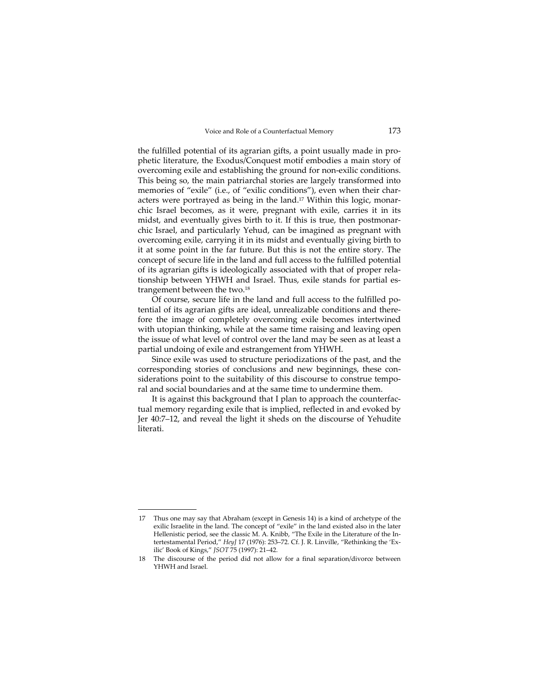the fulfilled potential of its agrarian gifts, a point usually made in pro‐ phetic literature, the Exodus/Conquest motif embodies a main story of overcoming exile and establishing the ground for non‐exilic conditions. This being so, the main patriarchal stories are largely transformed into memories of "exile" (i.e., of "exilic conditions"), even when their characters were portrayed as being in the land.<sup>17</sup> Within this logic, monarchic Israel becomes, as it were, pregnant with exile, carries it in its midst, and eventually gives birth to it. If this is true, then postmonar‐ chic Israel, and particularly Yehud, can be imagined as pregnant with overcoming exile, carrying it in its midst and eventually giving birth to it at some point in the far future. But this is not the entire story. The concept of secure life in the land and full access to the fulfilled potential of its agrarian gifts is ideologically associated with that of proper rela‐ tionship between YHWH and Israel. Thus, exile stands for partial estrangement between the two.18

Of course, secure life in the land and full access to the fulfilled po‐ tential of its agrarian gifts are ideal, unrealizable conditions and there‐ fore the image of completely overcoming exile becomes intertwined with utopian thinking, while at the same time raising and leaving open the issue of what level of control over the land may be seen as at least a partial undoing of exile and estrangement from YHWH.

Since exile was used to structure periodizations of the past, and the corresponding stories of conclusions and new beginnings, these considerations point to the suitability of this discourse to construe temporal and social boundaries and at the same time to undermine them.

It is against this background that I plan to approach the counterfac‐ tual memory regarding exile that is implied, reflected in and evoked by Jer 40:7–12, and reveal the light it sheds on the discourse of Yehudite literati.

<sup>17</sup> Thus one may say that Abraham (except in Genesis 14) is a kind of archetype of the exilic Israelite in the land. The concept of "exile" in the land existed also in the later Hellenistic period, see the classic M. A. Knibb, "The Exile in the Literature of the Intertestamental Period," *HeyJ* 17 (1976): 253–72. Cf. J. R. Linville, "Rethinking the 'Ex‐ ilic' Book of Kings," *JSOT* 75 (1997): 21–42.

<sup>18</sup> The discourse of the period did not allow for a final separation/divorce between YHWH and Israel.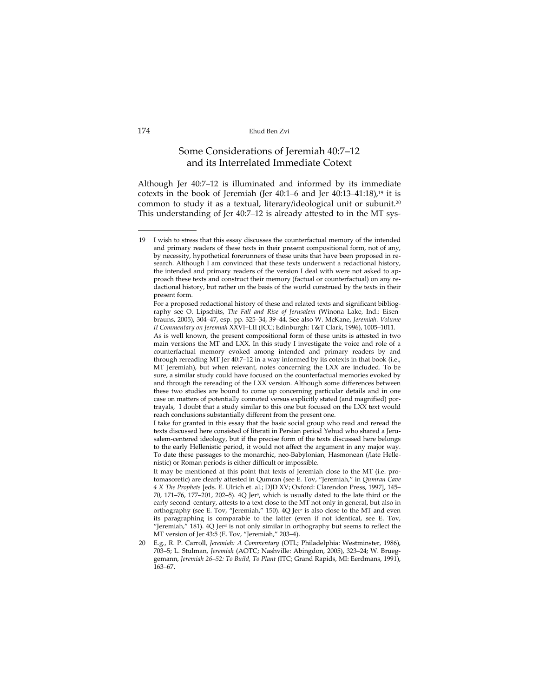## Some Considerations of Jeremiah 40:7–12 and its Interrelated Immediate Cotext

Although Jer 40:7–12 is illuminated and informed by its immediate cotexts in the book of Jeremiah (Jer  $40:1-6$  and Jer  $40:13-41:18$ ),<sup>19</sup> it is common to study it as a textual, literary/ideological unit or subunit.20 This understanding of Jer 40:7-12 is already attested to in the MT sys-

20 E.g., R. P. Carroll, *Jeremiah: A Commentary* (OTL; Philadelphia: Westminster, 1986), 703–5; L. Stulman, *Jeremiah* (AOTC; Nashville: Abingdon, 2005), 323–24; W. Brueg‐ gemann, *Jeremiah 26–52: To Build, To Plant* (ITC; Grand Rapids, MI: Eerdmans, 1991), 163–67.

<sup>19</sup> I wish to stress that this essay discusses the counterfactual memory of the intended and primary readers of these texts in their present compositional form, not of any, by necessity, hypothetical forerunners of these units that have been proposed in research. Although I am convinced that these texts underwent a redactional history, the intended and primary readers of the version I deal with were not asked to approach these texts and construct their memory (factual or counterfactual) on any redactional history, but rather on the basis of the world construed by the texts in their present form.

For a proposed redactional history of these and related texts and significant bibliography see O. Lipschits, *The Fall and Rise of Jerusalem* (Winona Lake, Ind.: Eisen‐ brauns, 2005), 304–47, esp. pp. 325–34, 39–44. See also W. McKane, *Jeremiah. Volume II Commentary on Jeremiah* XXVI–LII (ICC; Edinburgh: T&T Clark, 1996), 1005–1011.

As is well known, the present compositional form of these units is attested in two main versions the MT and LXX. In this study I investigate the voice and role of a counterfactual memory evoked among intended and primary readers by and through rereading MT Jer 40:7–12 in a way informed by its cotexts in that book (i.e., MT Jeremiah), but when relevant, notes concerning the LXX are included. To be sure, a similar study could have focused on the counterfactual memories evoked by and through the rereading of the LXX version. Although some differences between these two studies are bound to come up concerning particular details and in one case on matters of potentially connoted versus explicitly stated (and magnified) por‐ trayals, I doubt that a study similar to this one but focused on the LXX text would reach conclusions substantially different from the present one.

I take for granted in this essay that the basic social group who read and reread the texts discussed here consisted of literati in Persian period Yehud who shared a Jerusalem-centered ideology, but if the precise form of the texts discussed here belongs to the early Hellenistic period, it would not affect the argument in any major way. To date these passages to the monarchic, neo-Babylonian, Hasmonean (/late Hellenistic) or Roman periods is either difficult or impossible.

It may be mentioned at this point that texts of Jeremiah close to the MT (i.e. protomasoretic) are clearly attested in Qumran (see E. Tov, "Jeremiah," in *Qumran Cave 4 X The Prophets* [eds. E. Ulrich et. al.; DJD XV; Oxford: Clarendon Press, 1997], 145– 70, 171–76, 177–201, 202–5). 4Q Jera, which is usually dated to the late third or the early second century, attests to a text close to the MT not only in general, but also in orthography (see E. Tov, "Jeremiah," 150). 4Q Jerc is also close to the MT and even its paragraphing is comparable to the latter (even if not identical, see E. Tov, "Jeremiah," 181).  $4Q$  Jer<sup>d</sup> is not only similar in orthography but seems to reflect the MT version of Jer 43:5 (E. Tov, "Jeremiah," 203–4).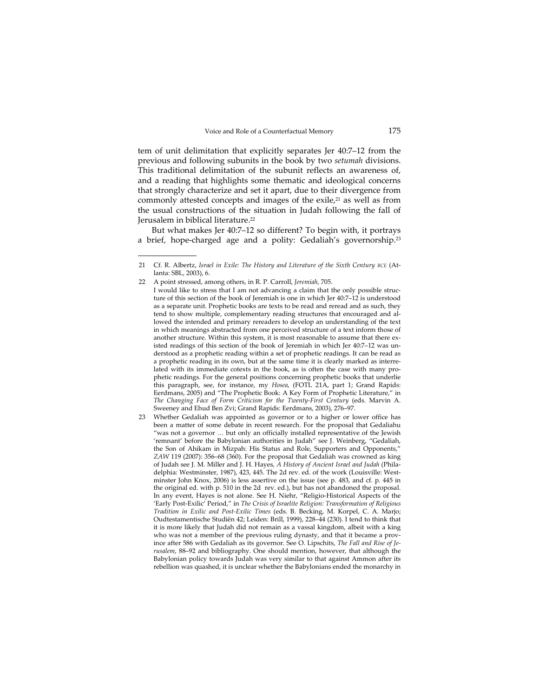tem of unit delimitation that explicitly separates Jer 40:7–12 from the previous and following subunits in the book by two *setumah* divisions. This traditional delimitation of the subunit reflects an awareness of, and a reading that highlights some thematic and ideological concerns that strongly characterize and set it apart, due to their divergence from commonly attested concepts and images of the exile,<sup>21</sup> as well as from the usual constructions of the situation in Judah following the fall of Jerusalem in biblical literature.22

But what makes Jer 40:7–12 so different? To begin with, it portrays a brief, hope-charged age and a polity: Gedaliah's governorship.<sup>23</sup>

<sup>21</sup> Cf. R. Albertz, *Israel in Exile: The History and Literature of the Sixth Century BCE* (At‐ lanta: SBL, 2003), 6.

<sup>22</sup> A point stressed, among others, in R. P. Carroll, *Jeremiah*, 705. I would like to stress that I am not advancing a claim that the only possible struc‐ ture of this section of the book of Jeremiah is one in which Jer 40:7–12 is understood as a separate unit. Prophetic books are texts to be read and reread and as such, they tend to show multiple, complementary reading structures that encouraged and allowed the intended and primary rereaders to develop an understanding of the text in which meanings abstracted from one perceived structure of a text inform those of another structure. Within this system, it is most reasonable to assume that there existed readings of this section of the book of Jeremiah in which Jer 40:7-12 was understood as a prophetic reading within a set of prophetic readings. It can be read as a prophetic reading in its own, but at the same time it is clearly marked as interre‐ lated with its immediate cotexts in the book, as is often the case with many pro‐ phetic readings. For the general positions concerning prophetic books that underlie this paragraph, see, for instance, my *Hosea*, (FOTL 21A, part 1; Grand Rapids: Eerdmans, 2005) and "The Prophetic Book: A Key Form of Prophetic Literature," in *The Changing Face of Form Criticism for the Twenty‐First Century* (eds. Marvin A. Sweeney and Ehud Ben Zvi; Grand Rapids: Eerdmans, 2003), 276–97.

<sup>23</sup> Whether Gedaliah was appointed as governor or to a higher or lower office has been a matter of some debate in recent research. For the proposal that Gedaliahu "was not a governor … but only an officially installed representative of the Jewish 'remnant' before the Babylonian authorities in Judah" see J. Weinberg, "Gedaliah, the Son of Ahikam in Mizpah: His Status and Role, Supporters and Opponents," *ZAW* 119 (2007): 356–68 (360). For the proposal that Gedaliah was crowned as king of Judah see J. M. Miller and J. H. Hayes, *A History of Ancient Israel and Judah* (Phila‐ delphia: Westminster, 1987), 423, 445. The 2d rev. ed. of the work (Louisville: Westminster John Knox, 2006) is less assertive on the issue (see p. 483, and cf. p. 445 in the original ed. with p. 510 in the 2d rev. ed.), but has not abandoned the proposal. In any event, Hayes is not alone. See H. Niehr, "Religio‐Historical Aspects of the 'Early Post‐Exilic' Period," in *The Crisis of Israelite Religion: Transformation of Religious Tradition in Exilic and Post‐Exilic Times* (eds. B. Becking, M. Korpel, C. A. Marjo; Oudtestamentische Studiën 42; Leiden: Brill, 1999), 228–44 (230). I tend to think that it is more likely that Judah did not remain as a vassal kingdom, albeit with a king who was not a member of the previous ruling dynasty, and that it became a province after 586 with Gedaliah as its governor. See O. Lipschits, *The Fall and Rise of Je‐ rusalem*, 88–92 and bibliography. One should mention, however, that although the Babylonian policy towards Judah was very similar to that against Ammon after its rebellion was quashed, it is unclear whether the Babylonians ended the monarchy in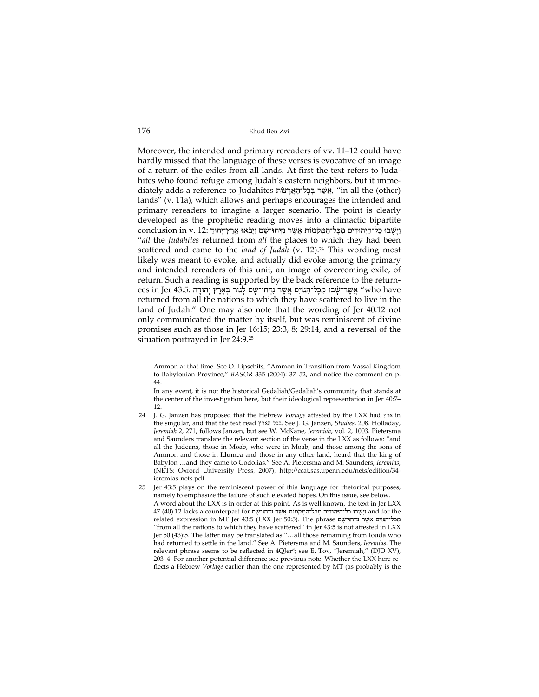Moreover, the intended and primary rereaders of vv. 11–12 could have hardly missed that the language of these verses is evocative of an image of a return of the exiles from all lands. At first the text refers to Juda‐ hites who found refuge among Judah's eastern neighbors, but it immediately adds a reference to Judahites יָאֲשֶׁר בִּבְל־הָאֲרָצוֹת, "in all the (other) lands" (v. 11a), which allows and perhaps encourages the intended and primary rereaders to imagine a larger scenario. The point is clearly developed as the prophetic reading moves into a climactic bipartite ַוָיֻּשׁבוּ ָכ ַ ל־הְיּ ִהוּדים ִמָכּ ַ ל־ה ְמּקֹמוֹת ֲאֶשׁר ִנְדּ ָ חוּ־שׁם ַוָיּבֹאוּ ֶ ֽאֶר ְץ־י ָהוּד 12: .v in conclusion "*all* the *Judahites* returned from *all* the places to which they had been scattered and came to the *land of Judah* (v. 12).<sup>24</sup> This wording most likely was meant to evoke, and actually did evoke among the primary and intended rereaders of this unit, an image of overcoming exile, of return. Such a reading is supported by the back reference to the return‐ ees in Jer 43:5: אֲשֶׁר־שָׂבוּ מִכָּל־הָגּוֹיִם אֲשֶׁר נִדְּחוּ־שָׁם לָגוּר בְּאֶרֶץ יְהוּדָה (who have returned from all the nations to which they have scattered to live in the land of Judah." One may also note that the wording of Jer 40:12 not only communicated the matter by itself, but was reminiscent of divine promises such as those in Jer 16:15; 23:3, 8; 29:14, and a reversal of the situation portrayed in Jer 24:9.25

Ammon at that time. See O. Lipschits, "Ammon in Transition from Vassal Kingdom to Babylonian Province," *BASOR* 335 (2004): 37–52, and notice the comment on p. 44.

In any event, it is not the historical Gedaliah/Gedaliah's community that stands at the center of the investigation here, but their ideological representation in Jer 40:7– 12.

<sup>24</sup> J. G. Janzen has proposed that the Hebrew *Vorlage* attested by the LXX had ארץ in the singular, and that the text read הארץ בכל. See J. G. Janzen, *Studies*, 208. Holladay, *Jeremiah* 2, 271, follows Janzen, but see W. McKane, *Jeremiah*, vol. 2, 1003. Pietersma and Saunders translate the relevant section of the verse in the LXX as follows: "and all the Judeans, those in Moab, who were in Moab, and those among the sons of Ammon and those in Idumea and those in any other land, heard that the king of Babylon …and they came to Godolias." See A. Pietersma and M. Saunders, *Ieremias*, (NETS; Oxford University Press, 2007), http://ccat.sas.upenn.edu/nets/edition/34‐ ieremias‐nets.pdf.

<sup>25</sup> Jer 43:5 plays on the reminiscent power of this language for rhetorical purposes, namely to emphasize the failure of such elevated hopes. On this issue, see below. A word about the LXX is in order at this point. As is well known, the text in Jer LXX וישבוּ כל־היהודים מכל־המקמות אַשׁר נדחו־שם for the וישבוּ כל־היהודים מכל־המקמות אַשׁר נִיחו related expression in MT Jer 43.5 (LXX Jer 50.5). The phrase מַכְּל־הָגּוֹיִם אֲשֶׁר וַדְחוֹ־שָׁם "from all the nations to which they have scattered" in Jer 43:5 is not attested in LXX Jer 50 (43):5. The latter may be translated as "…all those remaining from Iouda who had returned to settle in the land." See A. Pietersma and M. Saunders, *Ieremias*. The relevant phrase seems to be reflected in 4QJerd; see E. Tov, "Jeremiah," (DJD XV), 203–4. For another potential difference see previous note. Whether the LXX here re‐ flects a Hebrew *Vorlage* earlier than the one represented by MT (as probably is the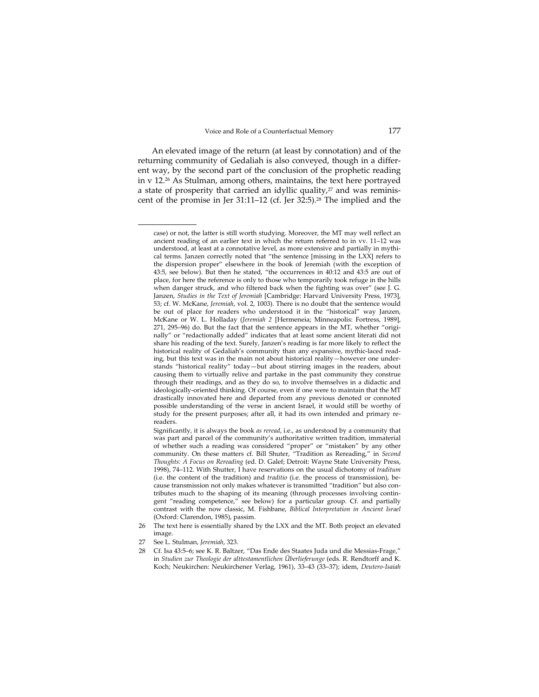An elevated image of the return (at least by connotation) and of the returning community of Gedaliah is also conveyed, though in a differ‐ ent way, by the second part of the conclusion of the prophetic reading in v 12.26 As Stulman, among others, maintains, the text here portrayed a state of prosperity that carried an idyllic quality,<sup>27</sup> and was reminiscent of the promise in Jer 31:11–12 (cf. Jer 32:5).28 The implied and the

- 26 The text here is essentially shared by the LXX and the MT. Both project an elevated image.
- 27 See L. Stulman, *Jeremiah*, 323.

 $\overline{\phantom{a}}$ 

28 Cf. Isa 43:5–6; see K. R. Baltzer, "Das Ende des Staates Juda und die Messias‐Frage," in *Studien zur Theologie der alttestamentlichen Überlieferunge* (eds. R. Rendtorff and K. Koch; Neukirchen: Neukirchener Verlag, 1961), 33–43 (33–37); idem, *Deutero‐Isaiah*

case) or not, the latter is still worth studying. Moreover, the MT may well reflect an ancient reading of an earlier text in which the return referred to in vv. 11–12 was understood, at least at a connotative level, as more extensive and partially in mythical terms. Janzen correctly noted that "the sentence [missing in the LXX] refers to the dispersion proper" elsewhere in the book of Jeremiah (with the exception of 43:5, see below). But then he stated, "the occurrences in 40:12 and 43:5 are out of place, for here the reference is only to those who temporarily took refuge in the hills when danger struck, and who filtered back when the fighting was over" (see J. G. Janzen, *Studies in the Text of Jeremiah* [Cambridge: Harvard University Press, 1973], 53; cf. W. McKane, *Jeremiah*, vol. 2, 1003). There is no doubt that the sentence would be out of place for readers who understood it in the "historical" way Janzen, McKane or W. L. Holladay (*Jeremiah 2* [Hermeneia; Minneapolis: Fortress, 1989], 271, 295–96) do. But the fact that the sentence appears in the MT, whether "originally" or "redactionally added" indicates that at least some ancient literati did not share his reading of the text. Surely, Janzen's reading is far more likely to reflect the historical reality of Gedaliah's community than any expansive, mythic-laced reading, but this text was in the main not about historical reality—however one under‐ stands "historical reality" today—but about stirring images in the readers, about causing them to virtually relive and partake in the past community they construe through their readings, and as they do so, to involve themselves in a didactic and ideologically‐oriented thinking. Of course, even if one were to maintain that the MT drastically innovated here and departed from any previous denoted or connoted possible understanding of the verse in ancient Israel, it would still be worthy of study for the present purposes; after all, it had its own intended and primary re‐ readers.

Significantly, it is always the book *as reread*, i.e., as understood by a community that was part and parcel of the community's authoritative written tradition, immaterial of whether such a reading was considered "proper" or "mistaken" by any other community. On these matters cf. Bill Shuter, "Tradition as Rereading," in *Second Thoughts: A Focus on Rereading* (ed. D. Galef; Detroit: Wayne State University Press, 1998), 74–112. With Shutter, I have reservations on the usual dichotomy of *traditum* (i.e. the content of the tradition) and *traditio* (i.e. the process of transmission), be‐ cause transmission not only makes whatever is transmitted "tradition" but also contributes much to the shaping of its meaning (through processes involving contin‐ gent "reading competence," see below) for a particular group. Cf. and partially contrast with the now classic, M. Fishbane, *Biblical Interpretation in Ancient Israel* (Oxford: Clarendon, 1985), passim.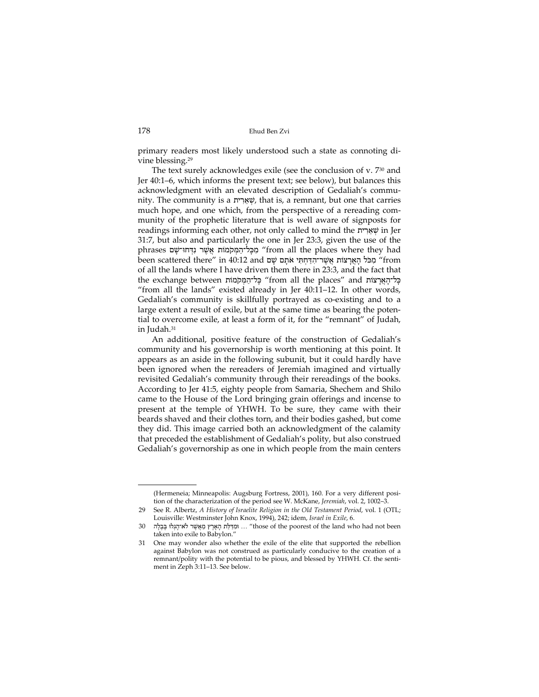primary readers most likely understood such a state as connoting di‐ vine blessing.29

The text surely acknowledges exile (see the conclusion of v. 730 and Jer 40:1–6, which informs the present text; see below), but balances this acknowledgment with an elevated description of Gedaliah's commu‐ nity. The community is a ריתִאֵשְׁ , that is, a remnant, but one that carries much hope, and one which, from the perspective of a rereading community of the prophetic literature that is well aware of signposts for readings informing each other, not only called to mind the ריתִאֵשְׁ in Jer 31:7, but also and particularly the one in Jer 23:3, given the use of the phrases מְכֵל־הָמִּקֹמוֹת אֲשֶׁר נִדְּחוּ־שָׁם "from all the places where they had heen scattered there" in 40:12 and מְכֹּל הָאֱרָצוֹת אֱשֶׁר־הִדָּחְתִּי אֹתָם שָׁם from of all the lands where I have driven them there in 23:3, and the fact that תֲלִ־הָאֲרְצוֹת from all the places" and " כְּל־הָאֲרָצוֹת from all the places" "from all the lands" existed already in Jer 40:11–12. In other words, Gedaliah's community is skillfully portrayed as co-existing and to a large extent a result of exile, but at the same time as bearing the potential to overcome exile, at least a form of it, for the "remnant" of Judah, in Judah.31

An additional, positive feature of the construction of Gedaliah's community and his governorship is worth mentioning at this point. It appears as an aside in the following subunit, but it could hardly have been ignored when the rereaders of Jeremiah imagined and virtually revisited Gedaliah's community through their rereadings of the books. According to Jer 41:5, eighty people from Samaria, Shechem and Shilo came to the House of the Lord bringing grain offerings and incense to present at the temple of YHWH. To be sure, they came with their beards shaved and their clothes torn, and their bodies gashed, but come they did. This image carried both an acknowledgment of the calamity that preceded the establishment of Gedaliah's polity, but also construed Gedaliah's governorship as one in which people from the main centers

 $\overline{\phantom{a}}$ (Hermeneia; Minneapolis: Augsburg Fortress, 2001), 160. For a very different posi‐ tion of the characterization of the period see W. McKane, *Jeremiah*, vol. 2, 1002–3.

<sup>29</sup> See R. Albertz, *A History of Israelite Religion in the Old Testament Period*, vol. 1 (OTL; Louisville: Westminster John Knox, 1994), 242; idem, *Israel in Exile*, 6.

וּ וּמַדַּלָּת הָאָרֵץ מֵאֲשֵׁר לֹא־הָגְלוּ בָּבֵלָה ... וּוּמַדִּלָּת הָאָרֵץ מֵאֲשֵׁר לֹא־הָגְלוּ בָּבֵלָה 30 taken into exile to Babylon."

<sup>31</sup> One may wonder also whether the exile of the elite that supported the rebellion against Babylon was not construed as particularly conducive to the creation of a remnant/polity with the potential to be pious, and blessed by YHWH. Cf. the senti‐ ment in Zeph 3:11–13. See below.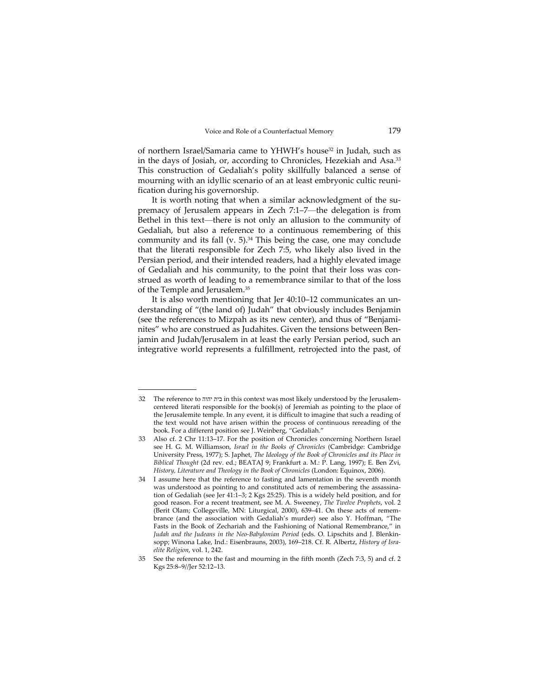of northern Israel/Samaria came to YHWH's house<sup>32</sup> in Judah, such as in the days of Josiah, or, according to Chronicles, Hezekiah and Asa.33 This construction of Gedaliah's polity skillfully balanced a sense of mourning with an idyllic scenario of an at least embryonic cultic reuni‐ fication during his governorship.

It is worth noting that when a similar acknowledgment of the supremacy of Jerusalem appears in Zech 7:1–7—the delegation is from Bethel in this text—there is not only an allusion to the community of Gedaliah, but also a reference to a continuous remembering of this community and its fall (v.  $5$ ).<sup>34</sup> This being the case, one may conclude that the literati responsible for Zech 7:5, who likely also lived in the Persian period, and their intended readers, had a highly elevated image of Gedaliah and his community, to the point that their loss was con‐ strued as worth of leading to a remembrance similar to that of the loss of the Temple and Jerusalem.35

It is also worth mentioning that Jer 40:10–12 communicates an understanding of "(the land of) Judah" that obviously includes Benjamin (see the references to Mizpah as its new center), and thus of "Benjami‐ nites" who are construed as Judahites. Given the tensions between Ben‐ jamin and Judah/Jerusalem in at least the early Persian period, such an integrative world represents a fulfillment, retrojected into the past, of

<sup>32</sup> The reference to יהוה בית in this context was most likely understood by the Jerusalem‐ centered literati responsible for the book(s) of Jeremiah as pointing to the place of the Jerusalemite temple. In any event, it is difficult to imagine that such a reading of the text would not have arisen within the process of continuous rereading of the book. For a different position see J. Weinberg, "Gedaliah."

<sup>33</sup> Also cf. 2 Chr 11:13–17. For the position of Chronicles concerning Northern Israel see H. G. M. Williamson, *Israel in the Books of Chronicles* (Cambridge: Cambridge University Press, 1977); S. Japhet, *The Ideology of the Book of Chronicles and its Place in Biblical Thought* (2d rev. ed.; BEATAJ 9; Frankfurt a. M.: P. Lang, 1997); E. Ben Zvi, *History, Literature and Theology in the Book of Chronicles* (London: Equinox, 2006).

<sup>34</sup> I assume here that the reference to fasting and lamentation in the seventh month was understood as pointing to and constituted acts of remembering the assassination of Gedaliah (see Jer 41:1–3; 2 Kgs 25:25). This is a widely held position, and for good reason. For a recent treatment, see M. A. Sweeney, *The Twelve Prophets*, vol. 2 (Berit Olam; Collegeville, MN: Liturgical, 2000), 639-41. On these acts of remembrance (and the association with Gedaliah's murder) see also Y. Hoffman, "The Fasts in the Book of Zechariah and the Fashioning of National Remembrance," in *Judah and the Judeans in the Neo‐Babylonian Period* (eds. O. Lipschits and J. Blenkin‐ sopp; Winona Lake, Ind.: Eisenbrauns, 2003), 169–218. Cf. R. Albertz, *History of Isra‐ elite Religion*, vol. 1, 242.

<sup>35</sup> See the reference to the fast and mourning in the fifth month (Zech 7:3, 5) and cf. 2 Kgs 25:8–9//Jer 52:12–13.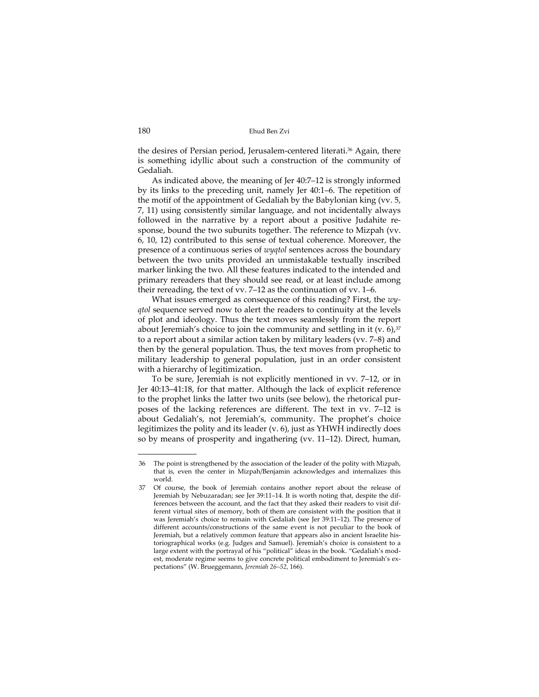the desires of Persian period, Jerusalem‐centered literati.36 Again, there is something idyllic about such a construction of the community of Gedaliah.

As indicated above, the meaning of Jer 40:7–12 is strongly informed by its links to the preceding unit, namely Jer 40:1–6. The repetition of the motif of the appointment of Gedaliah by the Babylonian king (vv. 5, 7, 11) using consistently similar language, and not incidentally always followed in the narrative by a report about a positive Judahite re‐ sponse, bound the two subunits together. The reference to Mizpah (vv. 6, 10, 12) contributed to this sense of textual coherence. Moreover, the presence of a continuous series of *wyqtol* sentences across the boundary between the two units provided an unmistakable textually inscribed marker linking the two. All these features indicated to the intended and primary rereaders that they should see read, or at least include among their rereading, the text of vv. 7–12 as the continuation of vv. 1–6.

What issues emerged as consequence of this reading? First, the *wy‐ qtol* sequence served now to alert the readers to continuity at the levels of plot and ideology. Thus the text moves seamlessly from the report about Jeremiah's choice to join the community and settling in it  $(v. 6)$ ,  $\frac{37}{2}$ to a report about a similar action taken by military leaders (vv. 7–8) and then by the general population. Thus, the text moves from prophetic to military leadership to general population, just in an order consistent with a hierarchy of legitimization.

To be sure, Jeremiah is not explicitly mentioned in vv. 7–12, or in Jer 40:13–41:18, for that matter. Although the lack of explicit reference to the prophet links the latter two units (see below), the rhetorical pur‐ poses of the lacking references are different. The text in vv. 7–12 is about Gedaliah's, not Jeremiah's, community. The prophet's choice legitimizes the polity and its leader (v. 6), just as YHWH indirectly does so by means of prosperity and ingathering (vv. 11–12). Direct, human,

 $\begin{tabular}{lcccccc} \multicolumn{2}{c|}{\textbf{1} & \textbf{1} & \textbf{1} & \textbf{1} & \textbf{1} & \textbf{1} & \textbf{1} & \textbf{1} & \textbf{1} & \textbf{1} & \textbf{1} & \textbf{1} & \textbf{1} & \textbf{1} & \textbf{1} & \textbf{1} & \textbf{1} & \textbf{1} & \textbf{1} & \textbf{1} & \textbf{1} & \textbf{1} & \textbf{1} & \textbf{1} & \textbf{1} & \textbf{1} & \textbf{1} & \textbf{1} & \textbf{$ 

<sup>36</sup> The point is strengthened by the association of the leader of the polity with Mizpah, that is, even the center in Mizpah/Benjamin acknowledges and internalizes this world.

<sup>37</sup> Of course, the book of Jeremiah contains another report about the release of Jeremiah by Nebuzaradan; see Jer 39:11–14. It is worth noting that, despite the dif‐ ferences between the account, and the fact that they asked their readers to visit different virtual sites of memory, both of them are consistent with the position that it was Jeremiah's choice to remain with Gedaliah (see Jer 39:11–12). The presence of different accounts/constructions of the same event is not peculiar to the book of Jeremiah, but a relatively common feature that appears also in ancient Israelite his‐ toriographical works (e.g. Judges and Samuel). Jeremiah's choice is consistent to a large extent with the portrayal of his "political" ideas in the book. "Gedaliah's modest, moderate regime seems to give concrete political embodiment to Jeremiah's ex‐ pectations" (W. Brueggemann, *Jeremiah 26–52*, 166).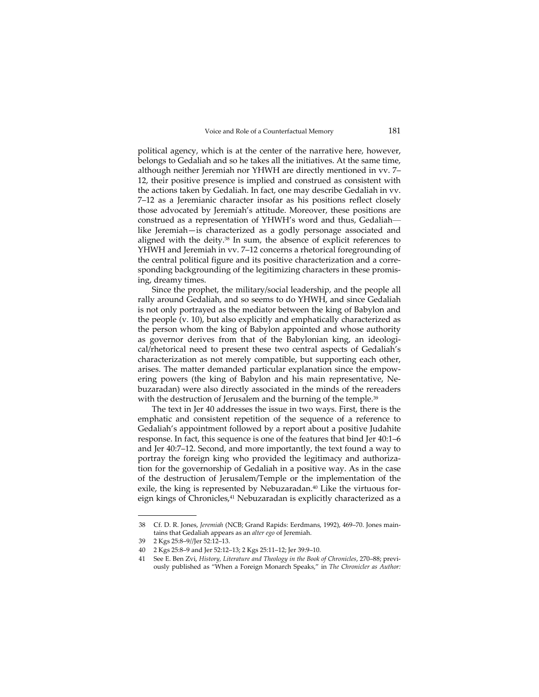political agency, which is at the center of the narrative here, however, belongs to Gedaliah and so he takes all the initiatives. At the same time, although neither Jeremiah nor YHWH are directly mentioned in vv. 7– 12, their positive presence is implied and construed as consistent with the actions taken by Gedaliah. In fact, one may describe Gedaliah in vv. 7–12 as a Jeremianic character insofar as his positions reflect closely those advocated by Jeremiah's attitude. Moreover, these positions are construed as a representation of YHWH's word and thus, Gedaliah like Jeremiah—is characterized as a godly personage associated and aligned with the deity.38 In sum, the absence of explicit references to YHWH and Jeremiah in vv. 7–12 concerns a rhetorical foregrounding of the central political figure and its positive characterization and a corresponding backgrounding of the legitimizing characters in these promising, dreamy times.

Since the prophet, the military/social leadership, and the people all rally around Gedaliah, and so seems to do YHWH, and since Gedaliah is not only portrayed as the mediator between the king of Babylon and the people (v. 10), but also explicitly and emphatically characterized as the person whom the king of Babylon appointed and whose authority as governor derives from that of the Babylonian king, an ideological/rhetorical need to present these two central aspects of Gedaliah's characterization as not merely compatible, but supporting each other, arises. The matter demanded particular explanation since the empow‐ ering powers (the king of Babylon and his main representative, Ne‐ buzaradan) were also directly associated in the minds of the rereaders with the destruction of Jerusalem and the burning of the temple.<sup>39</sup>

The text in Jer 40 addresses the issue in two ways. First, there is the emphatic and consistent repetition of the sequence of a reference to Gedaliah's appointment followed by a report about a positive Judahite response. In fact, this sequence is one of the features that bind Jer 40:1–6 and Jer 40:7–12. Second, and more importantly, the text found a way to portray the foreign king who provided the legitimacy and authoriza‐ tion for the governorship of Gedaliah in a positive way. As in the case of the destruction of Jerusalem/Temple or the implementation of the exile, the king is represented by Nebuzaradan.<sup>40</sup> Like the virtuous foreign kings of Chronicles,<sup>41</sup> Nebuzaradan is explicitly characterized as a

<sup>38</sup> Cf. D. R. Jones, *Jeremiah* (NCB; Grand Rapids: Eerdmans, 1992), 469–70. Jones main‐ tains that Gedaliah appears as an *alter ego* of Jeremiah.

<sup>39</sup> 2 Kgs 25:8–9//Jer 52:12–13.

<sup>40</sup> 2 Kgs 25:8–9 and Jer 52:12–13; 2 Kgs 25:11–12; Jer 39:9–10.

<sup>41</sup> See E. Ben Zvi, *History, Literature and Theology in the Book of Chronicles*, 270–88; previ‐ ously published as "When a Foreign Monarch Speaks," in *The Chronicler as Author:*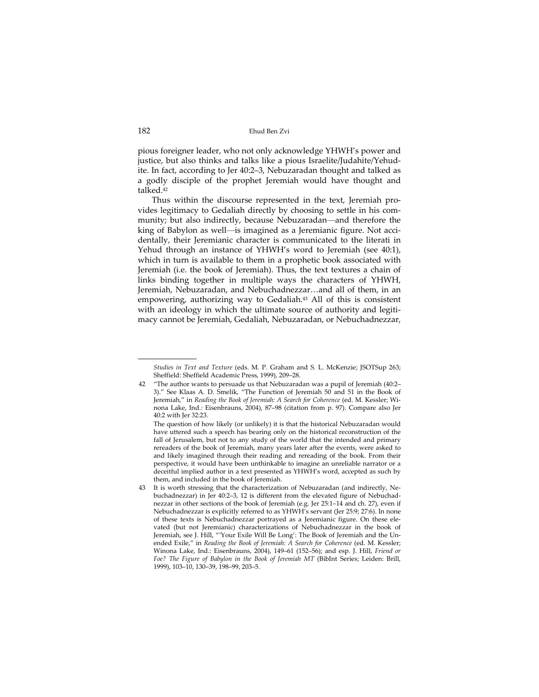pious foreigner leader, who not only acknowledge YHWH's power and justice, but also thinks and talks like a pious Israelite/Judahite/Yehud‐ ite. In fact, according to Jer 40:2–3, Nebuzaradan thought and talked as a godly disciple of the prophet Jeremiah would have thought and talked.42

Thus within the discourse represented in the text, Jeremiah pro‐ vides legitimacy to Gedaliah directly by choosing to settle in his com‐ munity; but also indirectly, because Nebuzaradan—and therefore the king of Babylon as well—is imagined as a Jeremianic figure. Not accidentally, their Jeremianic character is communicated to the literati in Yehud through an instance of YHWH's word to Jeremiah (see 40:1), which in turn is available to them in a prophetic book associated with Jeremiah (i.e. the book of Jeremiah). Thus, the text textures a chain of links binding together in multiple ways the characters of YHWH, Jeremiah, Nebuzaradan, and Nebuchadnezzar…and all of them, in an empowering, authorizing way to Gedaliah.<sup>43</sup> All of this is consistent with an ideology in which the ultimate source of authority and legitimacy cannot be Jeremiah, Gedaliah, Nebuzaradan, or Nebuchadnezzar,

*Studies in Text and Texture* (eds. M. P. Graham and S. L. McKenzie; JSOTSup 263; Sheffield: Sheffield Academic Press, 1999), 209–28.

<sup>42</sup> "The author wants to persuade us that Nebuzaradan was a pupil of Jeremiah (40:2– 3)." See Klaas A. D. Smelik, "The Function of Jeremiah 50 and 51 in the Book of Jeremiah," in *Reading the Book of Jeremiah: A Search for Coherence* (ed. M. Kessler; Wi‐ nona Lake, Ind.: Eisenbrauns, 2004), 87–98 (citation from p. 97). Compare also Jer 40:2 with Jer 32:23.

The question of how likely (or unlikely) it is that the historical Nebuzaradan would have uttered such a speech has bearing only on the historical reconstruction of the fall of Jerusalem, but not to any study of the world that the intended and primary rereaders of the book of Jeremiah, many years later after the events, were asked to and likely imagined through their reading and rereading of the book. From their perspective, it would have been unthinkable to imagine an unreliable narrator or a deceitful implied author in a text presented as YHWH's word, accepted as such by them, and included in the book of Jeremiah.

It is worth stressing that the characterization of Nebuzaradan (and indirectly, Nebuchadnezzar) in Jer 40:2–3, 12 is different from the elevated figure of Nebuchad‐ nezzar in other sections of the book of Jeremiah (e.g. Jer 25:1–14 and ch. 27), even if Nebuchadnezzar is explicitly referred to as YHWH's servant (Jer 25:9; 27:6). In none of these texts is Nebuchadnezzar portrayed as a Jeremianic figure. On these ele‐ vated (but not Jeremianic) characterizations of Nebuchadnezzar in the book of Jeremiah, see J. Hill, "'Your Exile Will Be Long': The Book of Jeremiah and the Un‐ ended Exile," in *Reading the Book of Jeremiah: A Search for Coherence* (ed. M. Kessler; Winona Lake, Ind.: Eisenbrauns, 2004), 149–61 (152–56); and esp. J. Hill, *Friend or Foe? The Figure of Babylon in the Book of Jeremiah MT* (BibInt Series; Leiden: Brill, 1999), 103–10, 130–39, 198–99, 203–5.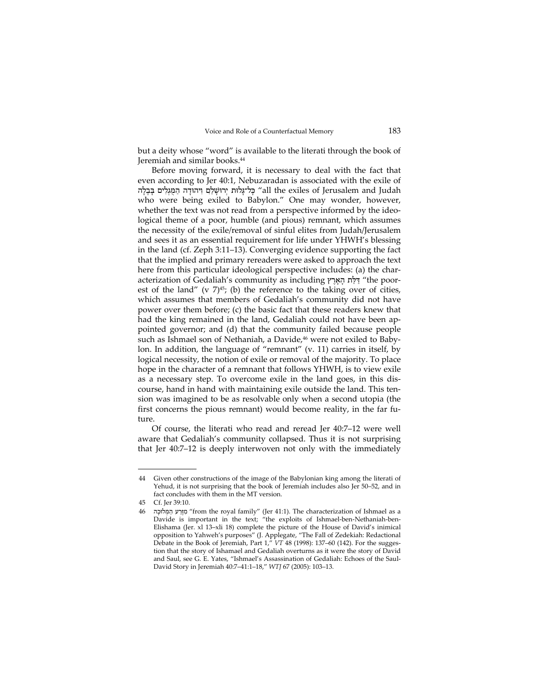but a deity whose "word" is available to the literati through the book of Jeremiah and similar books.44

Before moving forward, it is necessary to deal with the fact that even according to Jer 40:1, Nebuzaradan is associated with the exile of all the exiles of Jerusalem and Judah בָּל־גָּלוּת יְרוּשָׁלַם וְיהוּדָה הַמְּגִלִים בָּבֵלָה who were being exiled to Babylon." One may wonder, however, whether the text was not read from a perspective informed by the ideological theme of a poor, humble (and pious) remnant, which assumes the necessity of the exile/removal of sinful elites from Judah/Jerusalem and sees it as an essential requirement for life under YHWH's blessing in the land (cf. Zeph 3:11–13). Converging evidence supporting the fact that the implied and primary rereaders were asked to approach the text here from this particular ideological perspective includes: (a) the characterization of Gedaliah's community as including רץֶאָהָ לּתַדַּ" the poor‐ est of the land" (v  $7\frac{45}{7}$ ; (b) the reference to the taking over of cities, which assumes that members of Gedaliah's community did not have power over them before; (c) the basic fact that these readers knew that had the king remained in the land, Gedaliah could not have been appointed governor; and (d) that the community failed because people such as Ishmael son of Nethaniah, a Davide,<sup>46</sup> were not exiled to Babylon. In addition, the language of "remnant" (v. 11) carries in itself, by logical necessity, the notion of exile or removal of the majority. To place hope in the character of a remnant that follows YHWH, is to view exile as a necessary step. To overcome exile in the land goes, in this dis‐ course, hand in hand with maintaining exile outside the land. This ten‐ sion was imagined to be as resolvable only when a second utopia (the first concerns the pious remnant) would become reality, in the far future.

Of course, the literati who read and reread Jer 40:7–12 were well aware that Gedaliah's community collapsed. Thus it is not surprising that Jer 40:7–12 is deeply interwoven not only with the immediately

<sup>44</sup> Given other constructions of the image of the Babylonian king among the literati of Yehud, it is not surprising that the book of Jeremiah includes also Jer 50–52, and in fact concludes with them in the MT version.

<sup>45</sup> Cf. Jer 39:10.

<sup>46</sup> לוּכהָ מְּ הַ רעַזֶּמִ" from the royal family" (Jer 41:1). The characterization of Ishmael as a Davide is important in the text; "the exploits of Ishmael-ben-Nethaniah-ben-Elishama (Jer. xl 13–xli 18) complete the picture of the House of David's inimical opposition to Yahweh's purposes" (J. Applegate, "The Fall of Zedekiah: Redactional Debate in the Book of Jeremiah, Part 1," *VT* 48 (1998): 137–60 (142). For the sugges‐ tion that the story of Ishamael and Gedaliah overturns as it were the story of David and Saul, see G. E. Yates, "Ishmael's Assassination of Gedaliah: Echoes of the Saul‐ David Story in Jeremiah 40:7–41:1–18," *WTJ* 67 (2005): 103–13.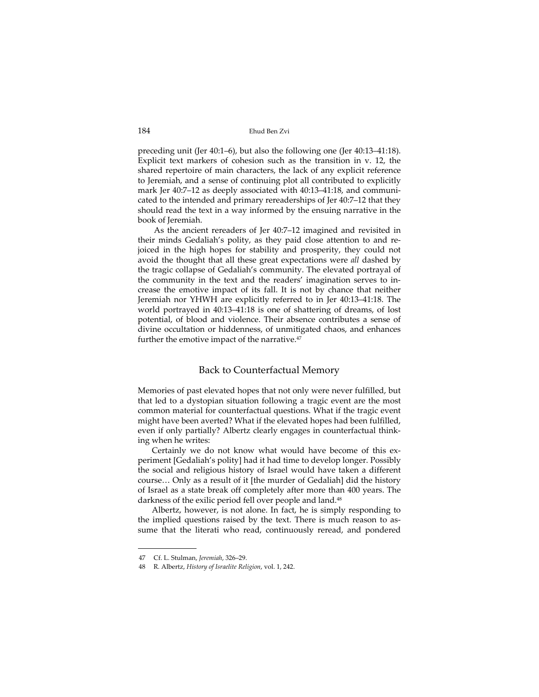preceding unit (Jer 40:1–6), but also the following one (Jer 40:13–41:18). Explicit text markers of cohesion such as the transition in v. 12, the shared repertoire of main characters, the lack of any explicit reference to Jeremiah, and a sense of continuing plot all contributed to explicitly mark Jer 40:7–12 as deeply associated with 40:13–41:18, and communi‐ cated to the intended and primary rereaderships of Jer 40:7–12 that they should read the text in a way informed by the ensuing narrative in the book of Jeremiah.

As the ancient rereaders of Jer 40:7–12 imagined and revisited in their minds Gedaliah's polity, as they paid close attention to and re‐ joiced in the high hopes for stability and prosperity, they could not avoid the thought that all these great expectations were *all* dashed by the tragic collapse of Gedaliah's community. The elevated portrayal of the community in the text and the readers' imagination serves to in‐ crease the emotive impact of its fall. It is not by chance that neither Jeremiah nor YHWH are explicitly referred to in Jer 40:13–41:18. The world portrayed in 40:13–41:18 is one of shattering of dreams, of lost potential, of blood and violence. Their absence contributes a sense of divine occultation or hiddenness, of unmitigated chaos, and enhances further the emotive impact of the narrative.<sup>47</sup>

## Back to Counterfactual Memory

Memories of past elevated hopes that not only were never fulfilled, but that led to a dystopian situation following a tragic event are the most common material for counterfactual questions. What if the tragic event might have been averted? What if the elevated hopes had been fulfilled, even if only partially? Albertz clearly engages in counterfactual thinking when he writes:

Certainly we do not know what would have become of this ex‐ periment [Gedaliah's polity] had it had time to develop longer. Possibly the social and religious history of Israel would have taken a different course… Only as a result of it [the murder of Gedaliah] did the history of Israel as a state break off completely after more than 400 years. The darkness of the exilic period fell over people and land.<sup>48</sup>

Albertz, however, is not alone. In fact, he is simply responding to the implied questions raised by the text. There is much reason to as‐ sume that the literati who read, continuously reread, and pondered

 $\begin{tabular}{lcccccc} \multicolumn{2}{c|}{\textbf{1} & \textbf{1} & \textbf{1} & \textbf{1} & \textbf{1} & \textbf{1} & \textbf{1} & \textbf{1} & \textbf{1} & \textbf{1} & \textbf{1} & \textbf{1} & \textbf{1} & \textbf{1} & \textbf{1} & \textbf{1} & \textbf{1} & \textbf{1} & \textbf{1} & \textbf{1} & \textbf{1} & \textbf{1} & \textbf{1} & \textbf{1} & \textbf{1} & \textbf{1} & \textbf{1} & \textbf{1} & \textbf{$ 

<sup>47</sup> Cf. L. Stulman, *Jeremiah*, 326–29.

<sup>48</sup> R. Albertz, *History of Israelite Religion*, vol. 1, 242.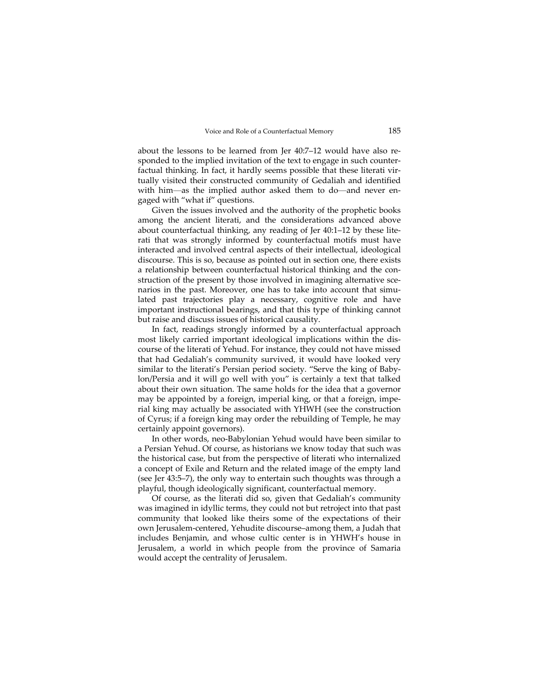about the lessons to be learned from Jer 40:7–12 would have also re‐ sponded to the implied invitation of the text to engage in such counterfactual thinking. In fact, it hardly seems possible that these literati virtually visited their constructed community of Gedaliah and identified with him—as the implied author asked them to do—and never engaged with "what if" questions.

Given the issues involved and the authority of the prophetic books among the ancient literati, and the considerations advanced above about counterfactual thinking, any reading of Jer 40:1–12 by these lite‐ rati that was strongly informed by counterfactual motifs must have interacted and involved central aspects of their intellectual, ideological discourse. This is so, because as pointed out in section one, there exists a relationship between counterfactual historical thinking and the con‐ struction of the present by those involved in imagining alternative scenarios in the past. Moreover, one has to take into account that simulated past trajectories play a necessary, cognitive role and have important instructional bearings, and that this type of thinking cannot but raise and discuss issues of historical causality.

In fact, readings strongly informed by a counterfactual approach most likely carried important ideological implications within the dis‐ course of the literati of Yehud. For instance, they could not have missed that had Gedaliah's community survived, it would have looked very similar to the literati's Persian period society. "Serve the king of Baby‐ lon/Persia and it will go well with you" is certainly a text that talked about their own situation. The same holds for the idea that a governor may be appointed by a foreign, imperial king, or that a foreign, imperial king may actually be associated with YHWH (see the construction of Cyrus; if a foreign king may order the rebuilding of Temple, he may certainly appoint governors).

In other words, neo‐Babylonian Yehud would have been similar to a Persian Yehud. Of course, as historians we know today that such was the historical case, but from the perspective of literati who internalized a concept of Exile and Return and the related image of the empty land (see Jer 43:5–7), the only way to entertain such thoughts was through a playful, though ideologically significant, counterfactual memory.

Of course, as the literati did so, given that Gedaliah's community was imagined in idyllic terms, they could not but retroject into that past community that looked like theirs some of the expectations of their own Jerusalem‐centered, Yehudite discourse–among them, a Judah that includes Benjamin, and whose cultic center is in YHWH's house in Jerusalem, a world in which people from the province of Samaria would accept the centrality of Jerusalem.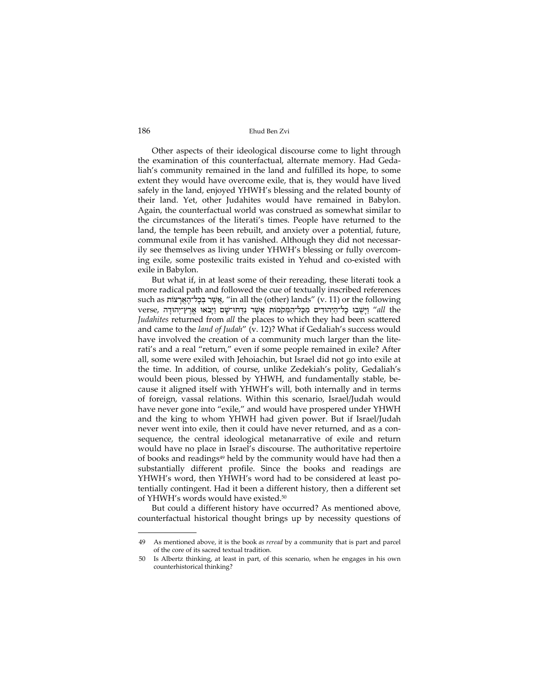Other aspects of their ideological discourse come to light through the examination of this counterfactual, alternate memory. Had Geda‐ liah's community remained in the land and fulfilled its hope, to some extent they would have overcome exile, that is, they would have lived safely in the land, enjoyed YHWH's blessing and the related bounty of their land. Yet, other Judahites would have remained in Babylon. Again, the counterfactual world was construed as somewhat similar to the circumstances of the literati's times. People have returned to the land, the temple has been rebuilt, and anxiety over a potential, future, communal exile from it has vanished. Although they did not necessarily see themselves as living under YHWH's blessing or fully overcom‐ ing exile, some postexilic traits existed in Yehud and co-existed with exile in Babylon.

But what if, in at least some of their rereading, these literati took a more radical path and followed the cue of textually inscribed references such as אֵשֶׁר בְּכָל־הָאֱרָצוֹת, "in all the (other) lands" (v. 11) or the following verse, יָיְשָׁבוּ כָל־הַיְּהוּדִים מִכְּל־הַמְּקֹמוֹת אֲשֶׁר נִדְּחוּ־שָׁם וַיָּבֹאוּ אֱרֶץ־יְהוּדָה ,verse *Judahites* returned from *all* the places to which they had been scattered and came to the *land of Judah*" (v. 12)? What if Gedaliah's success would have involved the creation of a community much larger than the literati's and a real "return," even if some people remained in exile? After all, some were exiled with Jehoiachin, but Israel did not go into exile at the time. In addition, of course, unlike Zedekiah's polity, Gedaliah's would been pious, blessed by YHWH, and fundamentally stable, be‐ cause it aligned itself with YHWH's will, both internally and in terms of foreign, vassal relations. Within this scenario, Israel/Judah would have never gone into "exile," and would have prospered under YHWH and the king to whom YHWH had given power. But if Israel/Judah never went into exile, then it could have never returned, and as a consequence, the central ideological metanarrative of exile and return would have no place in Israel's discourse. The authoritative repertoire of books and readings<sup>49</sup> held by the community would have had then a substantially different profile. Since the books and readings are YHWH's word, then YHWH's word had to be considered at least po‐ tentially contingent. Had it been a different history, then a different set of YHWH's words would have existed.50

But could a different history have occurred? As mentioned above, counterfactual historical thought brings up by necessity questions of

<sup>49</sup> As mentioned above, it is the book *as reread* by a community that is part and parcel of the core of its sacred textual tradition.

<sup>50</sup> Is Albertz thinking, at least in part, of this scenario, when he engages in his own counterhistorical thinking?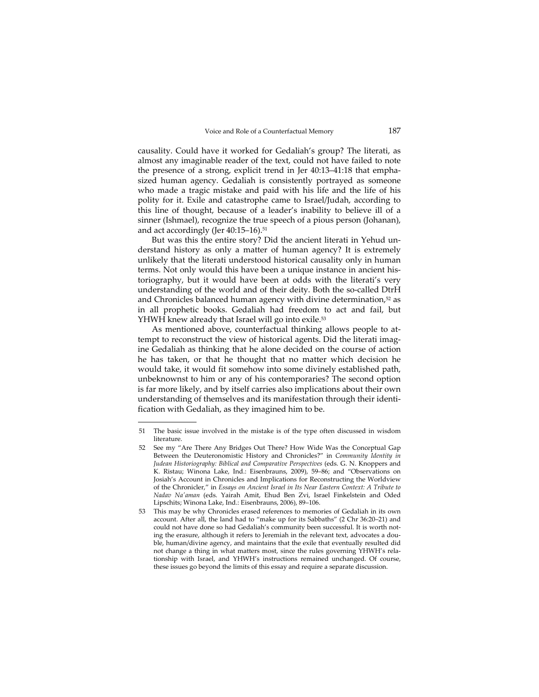causality. Could have it worked for Gedaliah's group? The literati, as almost any imaginable reader of the text, could not have failed to note the presence of a strong, explicit trend in Jer 40:13–41:18 that empha‐ sized human agency. Gedaliah is consistently portrayed as someone who made a tragic mistake and paid with his life and the life of his polity for it. Exile and catastrophe came to Israel/Judah, according to this line of thought, because of a leader's inability to believe ill of a sinner (Ishmael), recognize the true speech of a pious person (Johanan), and act accordingly (Jer 40:15-16).<sup>51</sup>

But was this the entire story? Did the ancient literati in Yehud un‐ derstand history as only a matter of human agency? It is extremely unlikely that the literati understood historical causality only in human terms. Not only would this have been a unique instance in ancient historiography, but it would have been at odds with the literati's very understanding of the world and of their deity. Both the so-called DtrH and Chronicles balanced human agency with divine determination,<sup>52</sup> as in all prophetic books. Gedaliah had freedom to act and fail, but YHWH knew already that Israel will go into exile.<sup>53</sup>

As mentioned above, counterfactual thinking allows people to at‐ tempt to reconstruct the view of historical agents. Did the literati imagine Gedaliah as thinking that he alone decided on the course of action he has taken, or that he thought that no matter which decision he would take, it would fit somehow into some divinely established path, unbeknownst to him or any of his contemporaries? The second option is far more likely, and by itself carries also implications about their own understanding of themselves and its manifestation through their identi‐ fication with Gedaliah, as they imagined him to be.

<sup>51</sup> The basic issue involved in the mistake is of the type often discussed in wisdom literature.

<sup>52</sup> See my "Are There Any Bridges Out There? How Wide Was the Conceptual Gap Between the Deuteronomistic History and Chronicles?" in *Community Identity in Judean Historiography: Biblical and Comparative Perspectives* (eds. G. N. Knoppers and K. Ristau; Winona Lake, Ind.: Eisenbrauns, 2009), 59–86; and "Observations on Josiah's Account in Chronicles and Implications for Reconstructing the Worldview of the Chronicler," in *Essays on Ancient Israel in Its Near Eastern Context: A Tribute to Nadav Naʹaman* (eds. Yairah Amit, Ehud Ben Zvi, Israel Finkelstein and Oded Lipschits; Winona Lake, Ind.: Eisenbrauns, 2006), 89–106.

<sup>53</sup> This may be why Chronicles erased references to memories of Gedaliah in its own account. After all, the land had to "make up for its Sabbaths" (2 Chr 36:20–21) and could not have done so had Gedaliah's community been successful. It is worth noting the erasure, although it refers to Jeremiah in the relevant text, advocates a double, human/divine agency, and maintains that the exile that eventually resulted did not change a thing in what matters most, since the rules governing YHWH's relationship with Israel, and YHWH's instructions remained unchanged. Of course, these issues go beyond the limits of this essay and require a separate discussion.